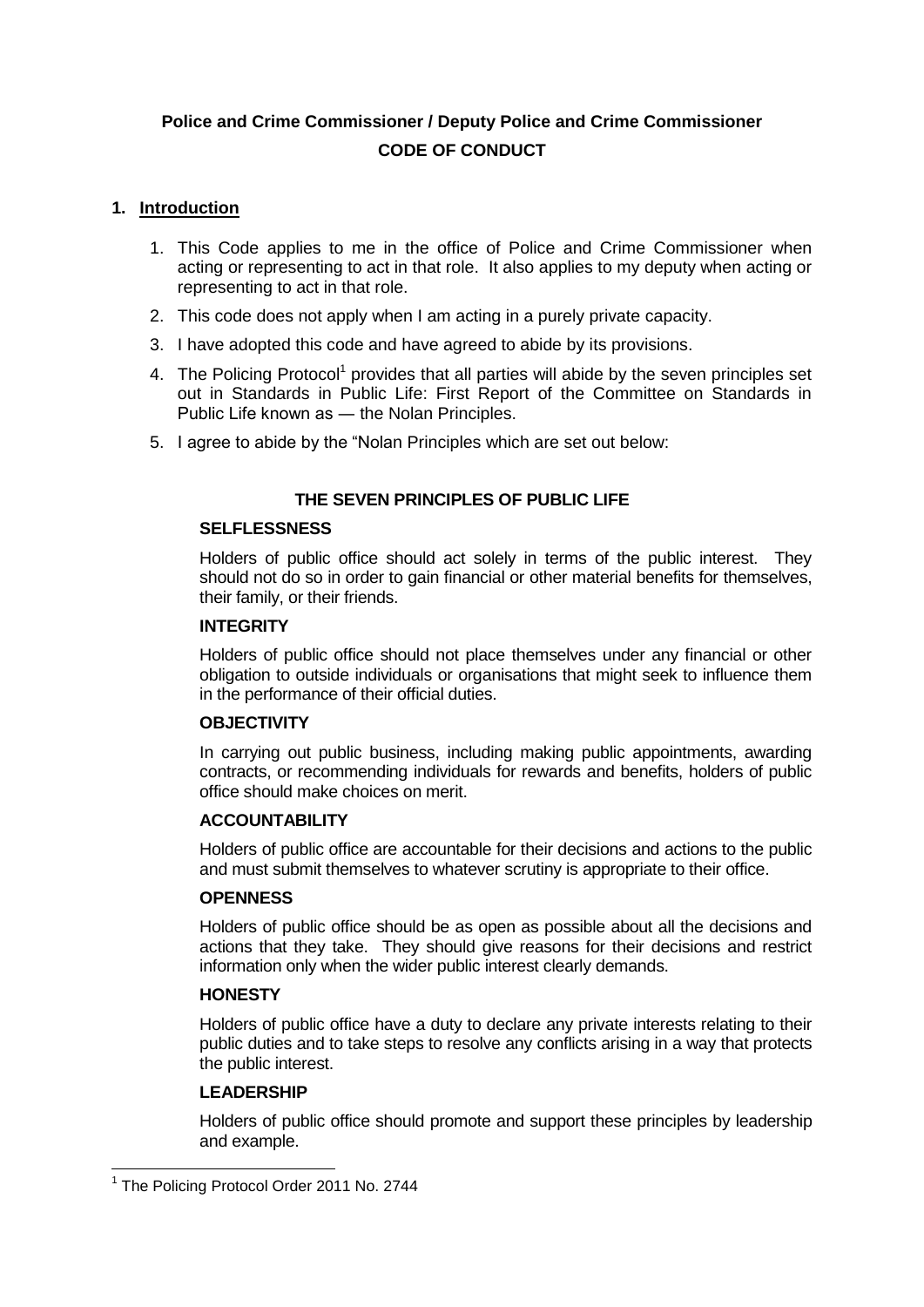# **Police and Crime Commissioner / Deputy Police and Crime Commissioner CODE OF CONDUCT**

#### **1. Introduction**

- 1. This Code applies to me in the office of Police and Crime Commissioner when acting or representing to act in that role. It also applies to my deputy when acting or representing to act in that role.
- 2. This code does not apply when I am acting in a purely private capacity.
- 3. I have adopted this code and have agreed to abide by its provisions.
- 4. The Policing Protocol<sup>1</sup> provides that all parties will abide by the seven principles set out in Standards in Public Life: First Report of the Committee on Standards in Public Life known as ― the Nolan Principles.
- 5. I agree to abide by the "Nolan Principles which are set out below:

## **THE SEVEN PRINCIPLES OF PUBLIC LIFE**

#### **SELFLESSNESS**

Holders of public office should act solely in terms of the public interest. They should not do so in order to gain financial or other material benefits for themselves. their family, or their friends.

#### **INTEGRITY**

Holders of public office should not place themselves under any financial or other obligation to outside individuals or organisations that might seek to influence them in the performance of their official duties.

#### **OBJECTIVITY**

In carrying out public business, including making public appointments, awarding contracts, or recommending individuals for rewards and benefits, holders of public office should make choices on merit.

#### **ACCOUNTABILITY**

Holders of public office are accountable for their decisions and actions to the public and must submit themselves to whatever scrutiny is appropriate to their office.

#### **OPENNESS**

Holders of public office should be as open as possible about all the decisions and actions that they take. They should give reasons for their decisions and restrict information only when the wider public interest clearly demands.

#### **HONESTY**

Holders of public office have a duty to declare any private interests relating to their public duties and to take steps to resolve any conflicts arising in a way that protects the public interest.

#### **LEADERSHIP**

1

Holders of public office should promote and support these principles by leadership and example.

<sup>&</sup>lt;sup>1</sup> The Policing Protocol Order 2011 No. 2744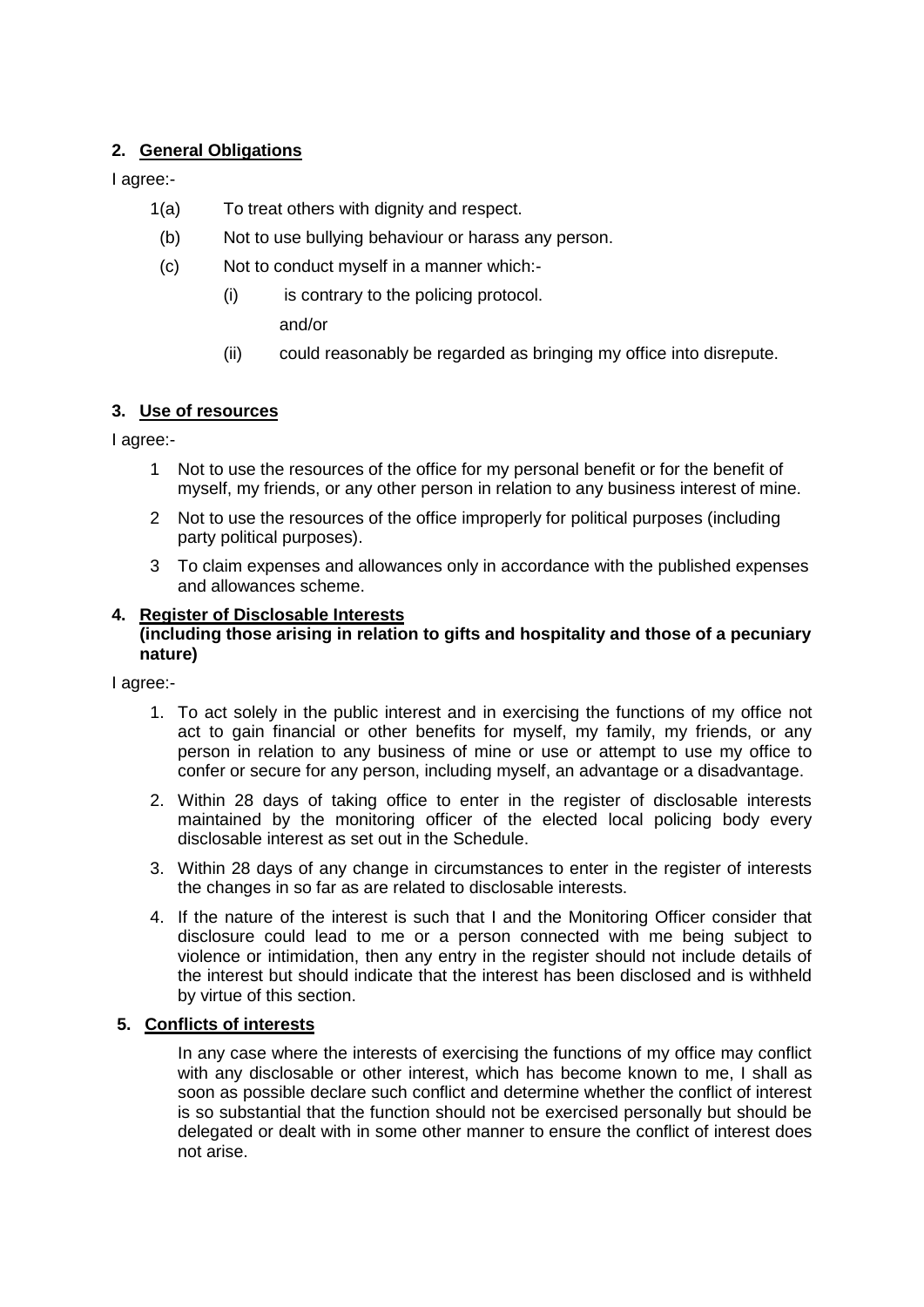## **2. General Obligations**

I agree:-

- 1(a) To treat others with dignity and respect.
- (b) Not to use bullying behaviour or harass any person.
- (c) Not to conduct myself in a manner which:-
	- (i) is contrary to the policing protocol.

and/or

(ii) could reasonably be regarded as bringing my office into disrepute.

### **3. Use of resources**

I agree:-

- 1 Not to use the resources of the office for my personal benefit or for the benefit of myself, my friends, or any other person in relation to any business interest of mine.
- 2 Not to use the resources of the office improperly for political purposes (including party political purposes).
- 3 To claim expenses and allowances only in accordance with the published expenses and allowances scheme.

#### **4. Register of Disclosable Interests (including those arising in relation to gifts and hospitality and those of a pecuniary nature)**

I agree:-

- 1. To act solely in the public interest and in exercising the functions of my office not act to gain financial or other benefits for myself, my family, my friends, or any person in relation to any business of mine or use or attempt to use my office to confer or secure for any person, including myself, an advantage or a disadvantage.
- 2. Within 28 days of taking office to enter in the register of disclosable interests maintained by the monitoring officer of the elected local policing body every disclosable interest as set out in the Schedule.
- 3. Within 28 days of any change in circumstances to enter in the register of interests the changes in so far as are related to disclosable interests.
- 4. If the nature of the interest is such that I and the Monitoring Officer consider that disclosure could lead to me or a person connected with me being subject to violence or intimidation, then any entry in the register should not include details of the interest but should indicate that the interest has been disclosed and is withheld by virtue of this section.

#### **5. Conflicts of interests**

In any case where the interests of exercising the functions of my office may conflict with any disclosable or other interest, which has become known to me, I shall as soon as possible declare such conflict and determine whether the conflict of interest is so substantial that the function should not be exercised personally but should be delegated or dealt with in some other manner to ensure the conflict of interest does not arise.